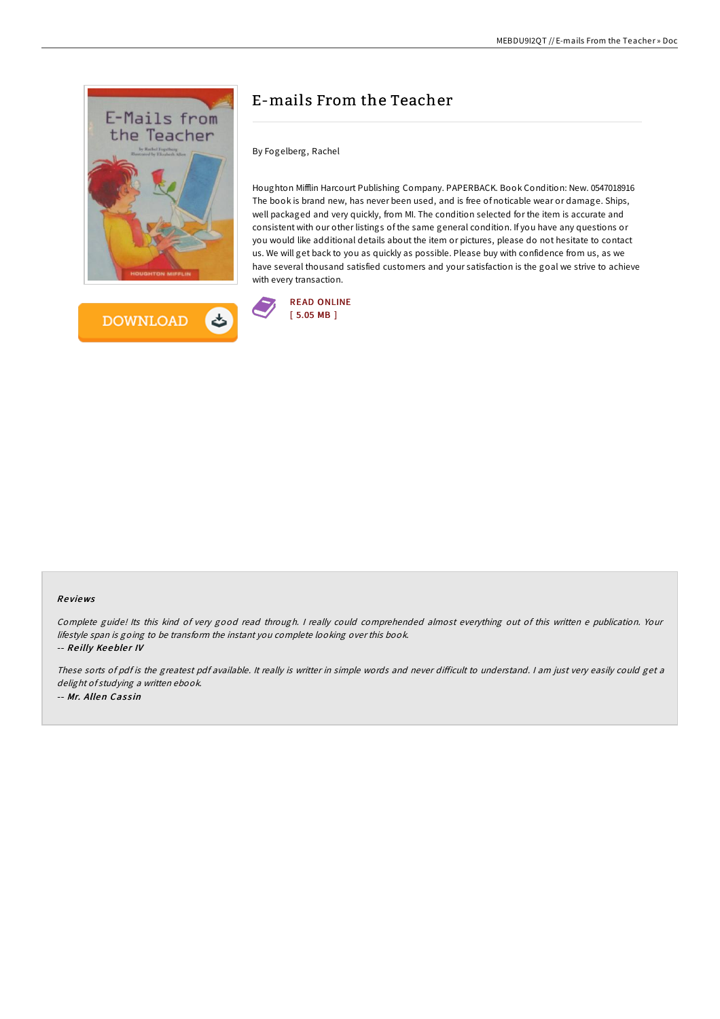



## E-mails From the Teacher

By Fogelberg, Rachel

Houghton Mifflin Harcourt Publishing Company. PAPERBACK. Book Condition: New. 0547018916 The book is brand new, has never been used, and is free of noticable wear or damage. Ships, well packaged and very quickly, from MI. The condition selected for the item is accurate and consistent with our other listings of the same general condition. If you have any questions or you would like additional details about the item or pictures, please do not hesitate to contact us. We will get back to you as quickly as possible. Please buy with confidence from us, as we have several thousand satisfied customers and your satisfaction is the goal we strive to achieve with every transaction.



## Re views

Complete guide! Its this kind of very good read through. <sup>I</sup> really could comprehended almost everything out of this written <sup>e</sup> publication. Your lifestyle span is going to be transform the instant you complete looking over this book. -- Reilly Keebler IV

These sorts of pdf is the greatest pdf available. It really is writter in simple words and never difficult to understand. I am just very easily could get a delight of studying a written ebook. -- Mr. Allen Cassin